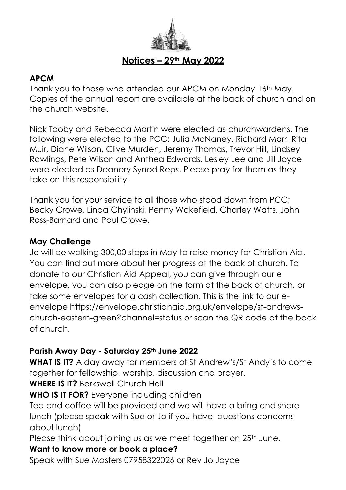

# **Notices – 29th May 2022**

# **APCM**

Thank you to those who attended our APCM on Monday 16th May. Copies of the annual report are available at the back of church and on the church website.

Nick Tooby and Rebecca Martin were elected as churchwardens. The following were elected to the PCC: Julia McNaney, Richard Marr, Rita Muir, Diane Wilson, Clive Murden, Jeremy Thomas, Trevor Hill, Lindsey Rawlings, Pete Wilson and Anthea Edwards. Lesley Lee and Jill Joyce were elected as Deanery Synod Reps. Please pray for them as they take on this responsibility.

Thank you for your service to all those who stood down from PCC; Becky Crowe, Linda Chylinski, Penny Wakefield, Charley Watts, John Ross-Barnard and Paul Crowe.

## **May Challenge**

Jo will be walking 300,00 steps in May to raise money for Christian Aid. You can find out more about her progress at the back of church. To donate to our Christian Aid Appeal, you can give through our e envelope, you can also pledge on the form at the back of church, or take some envelopes for a cash collection. This is the link to our eenvelope https://envelope.christianaid.org.uk/envelope/st-andrewschurch-eastern-green?channel=status or scan the QR code at the back of church.

## **Parish Away Day - Saturday 25th June 2022**

**WHAT IS IT?** A day away for members of St Andrew's/St Andy's to come together for fellowship, worship, discussion and prayer.

**WHERE IS IT?** Berkswell Church Hall

**WHO IS IT FOR?** Everyone including children

Tea and coffee will be provided and we will have a bring and share lunch (please speak with Sue or Jo if you have questions concerns about lunch)

Please think about joining us as we meet together on 25<sup>th</sup> June.

# **Want to know more or book a place?**

Speak with Sue Masters 07958322026 or Rev Jo Joyce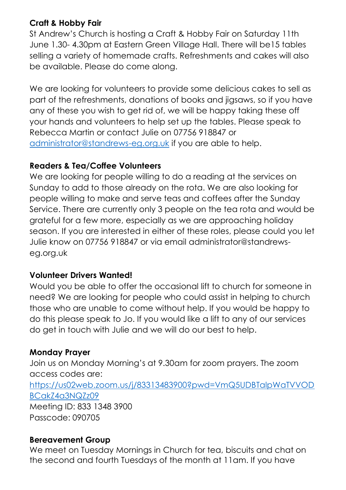# **Craft & Hobby Fair**

St Andrew's Church is hosting a Craft & Hobby Fair on Saturday 11th June 1.30- 4.30pm at Eastern Green Village Hall. There will be15 tables selling a variety of homemade crafts. Refreshments and cakes will also be available. Please do come along.

We are looking for volunteers to provide some delicious cakes to sell as part of the refreshments, donations of books and jigsaws, so if you have any of these you wish to get rid of, we will be happy taking these off your hands and volunteers to help set up the tables. Please speak to Rebecca Martin or contact Julie on 07756 918847 or [administrator@standrews-eg.org.uk](mailto:administrator@standrews-eg.org.uk) if you are able to help.

## **Readers & Tea/Coffee Volunteers**

We are looking for people willing to do a reading at the services on Sunday to add to those already on the rota. We are also looking for people willing to make and serve teas and coffees after the Sunday Service. There are currently only 3 people on the tea rota and would be grateful for a few more, especially as we are approaching holiday season. If you are interested in either of these roles, please could you let Julie know on 07756 918847 or via email [administrator@standrews](mailto:administrator@standrews-eg.org.uk)[eg.org.uk](mailto:administrator@standrews-eg.org.uk)

#### **Volunteer Drivers Wanted!**

Would you be able to offer the occasional lift to church for someone in need? We are looking for people who could assist in helping to church those who are unable to come without help. If you would be happy to do this please speak to Jo. If you would like a lift to any of our services do get in touch with Julie and we will do our best to help.

#### **Monday Prayer**

Join us on Monday Morning's at 9.30am for zoom prayers. The zoom access codes are: [https://us02web.zoom.us/j/83313483900?pwd=VmQ5UDBTalpWaTVVOD](https://us02web.zoom.us/j/83313483900?pwd=VmQ5UDBTalpWaTVVODBCakZ4a3NQZz09) [BCakZ4a3NQZz09](https://us02web.zoom.us/j/83313483900?pwd=VmQ5UDBTalpWaTVVODBCakZ4a3NQZz09) Meeting ID: 833 1348 3900 Passcode: 090705

#### **Bereavement Group**

We meet on Tuesday Mornings in Church for tea, biscuits and chat on the second and fourth Tuesdays of the month at 11am. If you have